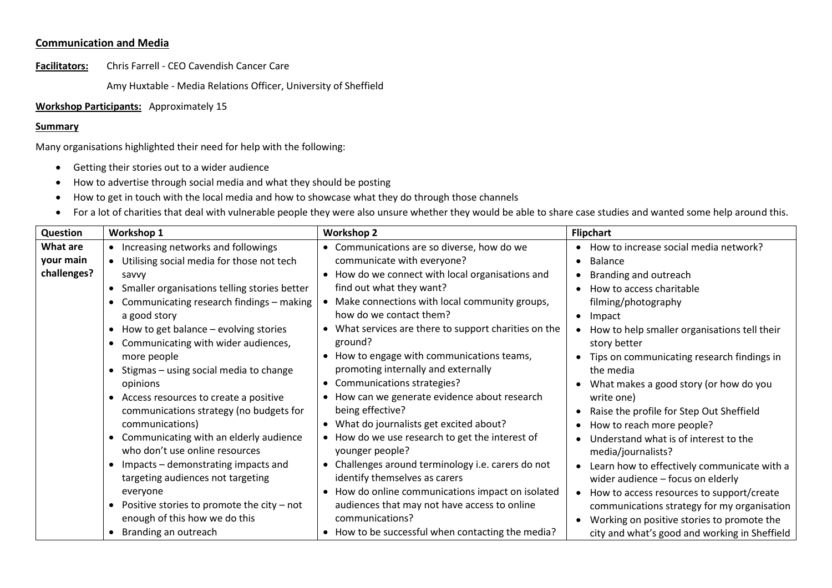## **Communication and Media**

**Facilitators:** Chris Farrell - CEO Cavendish Cancer Care

Amy Huxtable - Media Relations Officer, University of Sheffield

## **Workshop Participants:** Approximately 15

## **Summary**

Many organisations highlighted their need for help with the following:

- Getting their stories out to a wider audience
- How to advertise through social media and what they should be posting
- How to get in touch with the local media and how to showcase what they do through those channels
- For a lot of charities that deal with vulnerable people they were also unsure whether they would be able to share case studies and wanted some help around this.

| Question    | Workshop 1                                                | <b>Workshop 2</b>                                          | <b>Flipchart</b>                              |
|-------------|-----------------------------------------------------------|------------------------------------------------------------|-----------------------------------------------|
| What are    | • Increasing networks and followings                      | • Communications are so diverse, how do we                 | How to increase social media network?         |
| your main   | Utilising social media for those not tech                 | communicate with everyone?                                 | <b>Balance</b>                                |
| challenges? | savvy                                                     | • How do we connect with local organisations and           | Branding and outreach                         |
|             | • Smaller organisations telling stories better            | find out what they want?                                   | How to access charitable                      |
|             | Communicating research findings - making                  | Make connections with local community groups,<br>$\bullet$ | filming/photography                           |
|             | a good story                                              | how do we contact them?                                    | Impact                                        |
|             | • How to get balance – evolving stories                   | What services are there to support charities on the        | How to help smaller organisations tell their  |
|             | Communicating with wider audiences,                       | ground?                                                    | story better                                  |
|             | more people                                               | • How to engage with communications teams,                 | Tips on communicating research findings in    |
|             | • Stigmas - using social media to change                  | promoting internally and externally                        | the media                                     |
|             | opinions                                                  | Communications strategies?<br>$\bullet$                    | What makes a good story (or how do you        |
|             | • Access resources to create a positive                   | How can we generate evidence about research                | write one)                                    |
|             | communications strategy (no budgets for                   | being effective?                                           | Raise the profile for Step Out Sheffield      |
|             | communications)                                           | • What do journalists get excited about?                   | How to reach more people?                     |
|             | Communicating with an elderly audience                    | How do we use research to get the interest of              | Understand what is of interest to the         |
|             | who don't use online resources                            | younger people?                                            | media/journalists?                            |
|             | Impacts – demonstrating impacts and<br>$\bullet$          | • Challenges around terminology i.e. carers do not         | Learn how to effectively communicate with a   |
|             | targeting audiences not targeting                         | identify themselves as carers                              | wider audience - focus on elderly             |
|             | everyone                                                  | How do online communications impact on isolated            | How to access resources to support/create     |
|             | Positive stories to promote the city $-$ not<br>$\bullet$ | audiences that may not have access to online               | communications strategy for my organisation   |
|             | enough of this how we do this                             | communications?                                            | Working on positive stories to promote the    |
|             | Branding an outreach                                      | • How to be successful when contacting the media?          | city and what's good and working in Sheffield |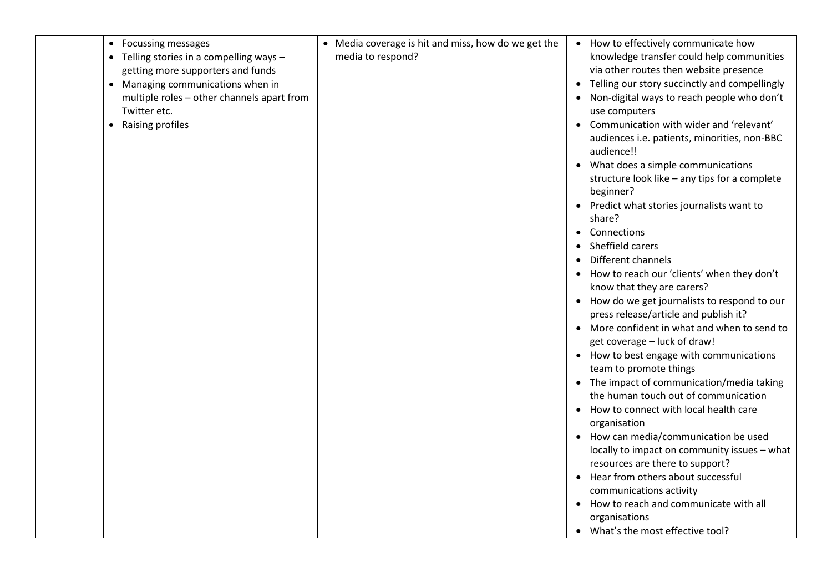| <b>Focussing messages</b><br>$\bullet$<br>• Telling stories in a compelling ways -<br>getting more supporters and funds<br>• Managing communications when in<br>multiple roles - other channels apart from<br>Twitter etc.<br>Raising profiles | • Media coverage is hit and miss, how do we get the<br>media to respond? | • How to effectively communicate how<br>knowledge transfer could help communities<br>via other routes then website presence<br>• Telling our story succinctly and compellingly<br>Non-digital ways to reach people who don't<br>use computers<br>Communication with wider and 'relevant'<br>audiences i.e. patients, minorities, non-BBC<br>audience!!<br>• What does a simple communications<br>structure look like - any tips for a complete<br>beginner?<br>• Predict what stories journalists want to<br>share?<br>• Connections<br>Sheffield carers<br>$\bullet$<br>Different channels<br>$\bullet$<br>How to reach our 'clients' when they don't<br>know that they are carers?<br>• How do we get journalists to respond to our<br>press release/article and publish it?<br>• More confident in what and when to send to<br>get coverage - luck of draw!<br>• How to best engage with communications<br>team to promote things<br>• The impact of communication/media taking<br>the human touch out of communication<br>• How to connect with local health care<br>organisation<br>• How can media/communication be used<br>locally to impact on community issues - what<br>resources are there to support?<br>Hear from others about successful<br>$\bullet$<br>communications activity<br>How to reach and communicate with all<br>$\bullet$<br>organisations<br>• What's the most effective tool? |
|------------------------------------------------------------------------------------------------------------------------------------------------------------------------------------------------------------------------------------------------|--------------------------------------------------------------------------|------------------------------------------------------------------------------------------------------------------------------------------------------------------------------------------------------------------------------------------------------------------------------------------------------------------------------------------------------------------------------------------------------------------------------------------------------------------------------------------------------------------------------------------------------------------------------------------------------------------------------------------------------------------------------------------------------------------------------------------------------------------------------------------------------------------------------------------------------------------------------------------------------------------------------------------------------------------------------------------------------------------------------------------------------------------------------------------------------------------------------------------------------------------------------------------------------------------------------------------------------------------------------------------------------------------------------------------------------------------------------------------------------------|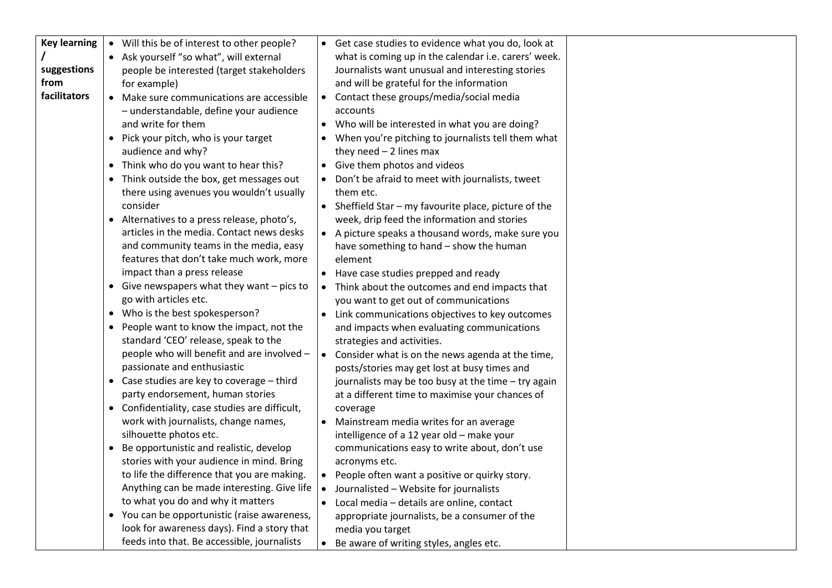| <b>Key learning</b> | • Will this be of interest to other people?                    |           | • Get case studies to evidence what you do, look at                                        |  |
|---------------------|----------------------------------------------------------------|-----------|--------------------------------------------------------------------------------------------|--|
|                     | • Ask yourself "so what", will external                        |           | what is coming up in the calendar i.e. carers' week.                                       |  |
| suggestions         | people be interested (target stakeholders                      |           | Journalists want unusual and interesting stories                                           |  |
| from                | for example)                                                   |           | and will be grateful for the information                                                   |  |
| facilitators        | • Make sure communications are accessible                      |           | • Contact these groups/media/social media                                                  |  |
|                     | - understandable, define your audience                         |           | accounts                                                                                   |  |
|                     | and write for them                                             |           | • Who will be interested in what you are doing?                                            |  |
|                     | • Pick your pitch, who is your target                          |           | • When you're pitching to journalists tell them what                                       |  |
|                     | audience and why?                                              |           | they need $-2$ lines max                                                                   |  |
|                     | • Think who do you want to hear this?                          |           | • Give them photos and videos                                                              |  |
|                     | • Think outside the box, get messages out                      |           | • Don't be afraid to meet with journalists, tweet                                          |  |
|                     | there using avenues you wouldn't usually                       |           | them etc.                                                                                  |  |
|                     | consider                                                       |           | • Sheffield Star - my favourite place, picture of the                                      |  |
|                     | • Alternatives to a press release, photo's,                    |           | week, drip feed the information and stories                                                |  |
|                     | articles in the media. Contact news desks                      |           | • A picture speaks a thousand words, make sure you                                         |  |
|                     | and community teams in the media, easy                         |           | have something to hand - show the human                                                    |  |
|                     | features that don't take much work, more                       |           | element                                                                                    |  |
|                     | impact than a press release                                    |           | • Have case studies prepped and ready                                                      |  |
|                     | • Give newspapers what they want $-$ pics to                   |           | • Think about the outcomes and end impacts that                                            |  |
|                     | go with articles etc.                                          |           | you want to get out of communications                                                      |  |
|                     | • Who is the best spokesperson?                                |           | • Link communications objectives to key outcomes                                           |  |
|                     | • People want to know the impact, not the                      |           | and impacts when evaluating communications                                                 |  |
|                     | standard 'CEO' release, speak to the                           |           | strategies and activities.                                                                 |  |
|                     | people who will benefit and are involved -                     |           | • Consider what is on the news agenda at the time,                                         |  |
|                     | passionate and enthusiastic                                    |           | posts/stories may get lost at busy times and                                               |  |
|                     | • Case studies are key to coverage - third                     |           | journalists may be too busy at the time - try again                                        |  |
|                     | party endorsement, human stories                               |           | at a different time to maximise your chances of                                            |  |
|                     | • Confidentiality, case studies are difficult,                 |           | coverage                                                                                   |  |
|                     | work with journalists, change names,<br>silhouette photos etc. |           | • Mainstream media writes for an average                                                   |  |
|                     | • Be opportunistic and realistic, develop                      |           | intelligence of a 12 year old - make your<br>communications easy to write about, don't use |  |
|                     | stories with your audience in mind. Bring                      |           | acronyms etc.                                                                              |  |
|                     | to life the difference that you are making.                    | $\bullet$ | People often want a positive or quirky story.                                              |  |
|                     | Anything can be made interesting. Give life                    | $\bullet$ | Journalisted - Website for journalists                                                     |  |
|                     | to what you do and why it matters                              | $\bullet$ | Local media - details are online, contact                                                  |  |
|                     | • You can be opportunistic (raise awareness,                   |           | appropriate journalists, be a consumer of the                                              |  |
|                     | look for awareness days). Find a story that                    |           | media you target                                                                           |  |
|                     | feeds into that. Be accessible, journalists                    | $\bullet$ | Be aware of writing styles, angles etc.                                                    |  |
|                     |                                                                |           |                                                                                            |  |